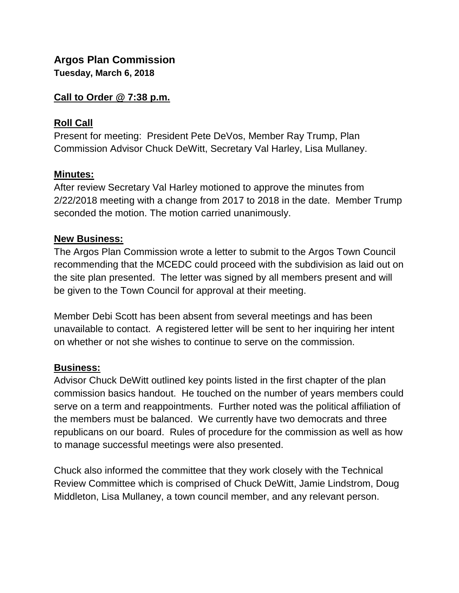# **Argos Plan Commission**

**Tuesday, March 6, 2018**

#### **Call to Order @ 7:38 p.m.**

## **Roll Call**

Present for meeting: President Pete DeVos, Member Ray Trump, Plan Commission Advisor Chuck DeWitt, Secretary Val Harley, Lisa Mullaney.

### **Minutes:**

After review Secretary Val Harley motioned to approve the minutes from 2/22/2018 meeting with a change from 2017 to 2018 in the date. Member Trump seconded the motion. The motion carried unanimously.

#### **New Business:**

The Argos Plan Commission wrote a letter to submit to the Argos Town Council recommending that the MCEDC could proceed with the subdivision as laid out on the site plan presented. The letter was signed by all members present and will be given to the Town Council for approval at their meeting.

Member Debi Scott has been absent from several meetings and has been unavailable to contact. A registered letter will be sent to her inquiring her intent on whether or not she wishes to continue to serve on the commission.

### **Business:**

Advisor Chuck DeWitt outlined key points listed in the first chapter of the plan commission basics handout. He touched on the number of years members could serve on a term and reappointments. Further noted was the political affiliation of the members must be balanced. We currently have two democrats and three republicans on our board. Rules of procedure for the commission as well as how to manage successful meetings were also presented.

Chuck also informed the committee that they work closely with the Technical Review Committee which is comprised of Chuck DeWitt, Jamie Lindstrom, Doug Middleton, Lisa Mullaney, a town council member, and any relevant person.